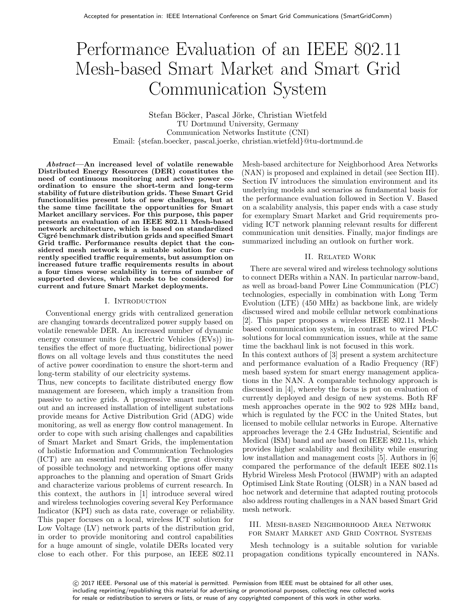# Performance Evaluation of an IEEE 802.11 Mesh-based Smart Market and Smart Grid Communication System

Stefan Böcker, Pascal Jörke, Christian Wietfeld TU Dortmund University, Germany Communication Networks Institute (CNI) Email: {stefan.boecker, pascal.joerke, christian.wietfeld}@tu-dortmund.de

Abstract—An increased level of volatile renewable Distributed Energy Resources (DER) constitutes the need of continuous monitoring and active power coordination to ensure the short-term and long-term stability of future distribution grids. These Smart Grid functionalities present lots of new challenges, but at the same time facilitate the opportunities for Smart Market ancillary services. For this purpose, this paper presents an evaluation of an IEEE 802.11 Mesh-based network architecture, which is based on standardized Cigré benchmark distribution grids and specified Smart Grid traffic. Performance results depict that the considered mesh network is a suitable solution for currently specified traffic requirements, but assumption on increased future traffic requirements results in about a four times worse scalability in terms of number of supported devices, which needs to be considered for current and future Smart Market deployments.

#### I. Introduction

Conventional energy grids with centralized generation are changing towards decentralized power supply based on volatile renewable DER. An increased number of dynamic energy consumer units (e.g. Electric Vehicles (EVs)) intensifies the effect of more fluctuating, bidirectional power flows on all voltage levels and thus constitutes the need of active power coordination to ensure the short-term and long-term stability of our electricity systems.

Thus, new concepts to facilitate distributed energy flow management are foreseen, which imply a transition from passive to active grids. A progressive smart meter rollout and an increased installation of intelligent substations provide means for Active Distribution Grid (ADG) wide monitoring, as well as energy flow control management. In order to cope with such arising challenges and capabilities of Smart Market and Smart Grids, the implementation of holistic Information and Communication Technologies (ICT) are an essential requirement. The great diversity of possible technology and networking options offer many approaches to the planning and operation of Smart Grids and characterize various problems of current research. In this context, the authors in [1] introduce several wired and wireless technologies covering several Key Performance Indicator (KPI) such as data rate, coverage or reliability. This paper focuses on a local, wireless ICT solution for Low Voltage (LV) network parts of the distribution grid, in order to provide monitoring and control capabilities for a huge amount of single, volatile DERs located very close to each other. For this purpose, an IEEE 802.11

Mesh-based architecture for Neighborhood Area Networks (NAN) is proposed and explained in detail (see Section III). Section IV introduces the simulation environment and its underlying models and scenarios as fundamental basis for the performance evaluation followed in Section V. Based on a scalability analysis, this paper ends with a case study for exemplary Smart Market and Grid requirements providing ICT network planning relevant results for different communication unit densities. Finally, major findings are summarized including an outlook on further work.

## II. Related Work

There are several wired and wireless technology solutions to connect DERs within a NAN. In particular narrow-band, as well as broad-band Power Line Communication (PLC) technologies, especially in combination with Long Term Evolution (LTE) (450 MHz) as backbone link, are widely discussed wired and mobile cellular network combinations [2]. This paper proposes a wireless IEEE 802.11 Meshbased communication system, in contrast to wired PLC solutions for local communication issues, while at the same time the backhaul link is not focused in this work.

In this context authors of [3] present a system architecture and performance evaluation of a Radio Frequency (RF) mesh based system for smart energy management applications in the NAN. A comparable technology approach is discussed in [4], whereby the focus is put on evaluation of currently deployed and design of new systems. Both RF mesh approaches operate in the 902 to 928 MHz band, which is regulated by the FCC in the United States, but licensed to mobile cellular networks in Europe. Alternative approaches leverage the 2.4 GHz Industrial, Scientific and Medical (ISM) band and are based on IEEE 802.11s, which provides higher scalability and flexibility while ensuring low installation and management costs [5]. Authors in [6] compared the performance of the default IEEE 802.11s Hybrid Wireless Mesh Protocol (HWMP) with an adapted Optimised Link State Routing (OLSR) in a NAN based ad hoc network and determine that adapted routing protocols also address routing challenges in a NAN based Smart Grid mesh network.

## III. Mesh-based Neighborhood Area Network for Smart Market and Grid Control Systems

Mesh technology is a suitable solution for variable propagation conditions typically encountered in NANs.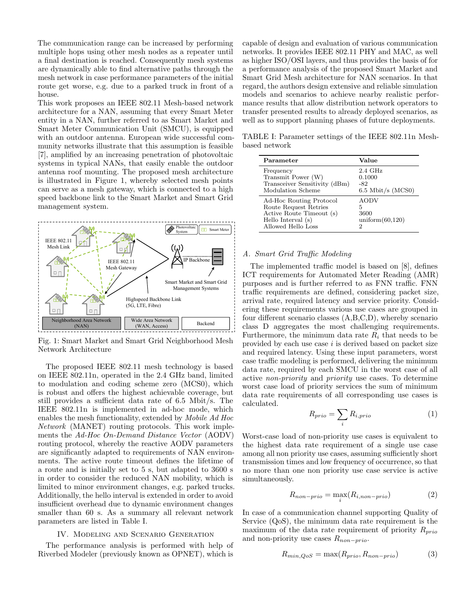The communication range can be increased by performing multiple hops using other mesh nodes as a repeater until a final destination is reached. Consequently mesh systems are dynamically able to find alternative paths through the mesh network in case performance parameters of the initial route get worse, e.g. due to a parked truck in front of a house.

This work proposes an IEEE 802.11 Mesh-based network architecture for a NAN, assuming that every Smart Meter entity in a NAN, further referred to as Smart Market and Smart Meter Communication Unit (SMCU), is equipped with an outdoor antenna. European wide successful community networks illustrate that this assumption is feasible [7], amplified by an increasing penetration of photovoltaic systems in typical NANs, that easily enable the outdoor antenna roof mounting. The proposed mesh architecture is illustrated in Figure 1, whereby selected mesh points can serve as a mesh gateway, which is connected to a high speed backbone link to the Smart Market and Smart Grid management system.



Fig. 1: Smart Market and Smart Grid Neighborhood Mesh Network Architecture

The proposed IEEE 802.11 mesh technology is based on IEEE 802.11n, operated in the 2.4 GHz band, limited to modulation and coding scheme zero (MCS0), which is robust and offers the highest achievable coverage, but still provides a sufficient data rate of 6.5 Mbit/s. The IEEE 802.11n is implemented in ad-hoc mode, which enables the mesh functionality, extended by Mobile Ad Hoc Network (MANET) routing protocols. This work implements the Ad-Hoc On-Demand Distance Vector (AODV) routing protocol, whereby the reactive AODV parameters are significantly adapted to requirements of NAN environments. The active route timeout defines the lifetime of a route and is initially set to 5 s, but adapted to 3600 s in order to consider the reduced NAN mobility, which is limited to minor environment changes, e.g. parked trucks. Additionally, the hello interval is extended in order to avoid insufficient overhead due to dynamic environment changes smaller than 60 s. As a summary all relevant network parameters are listed in Table I.

#### IV. Modeling and Scenario Generation

The performance analysis is performed with help of Riverbed Modeler (previously known as OPNET), which is capable of design and evaluation of various communication networks. It provides IEEE 802.11 PHY and MAC, as well as higher ISO/OSI layers, and thus provides the basis of for a performance analysis of the proposed Smart Market and Smart Grid Mesh architecture for NAN scenarios. In that regard, the authors design extensive and reliable simulation models and scenarios to achieve nearby realistic performance results that allow distribution network operators to transfer presented results to already deployed scenarios, as well as to support planning phases of future deployments.

TABLE I: Parameter settings of the IEEE 802.11n Meshbased network

| Parameter                     | Value               |
|-------------------------------|---------------------|
| Frequency                     | $2.4\text{ GHz}$    |
| Transmit Power (W)            | 0.1000              |
| Transceiver Sensitivity (dBm) | -82                 |
| Modulation Scheme             | $6.5$ Mbit/s (MCS0) |
| Ad-Hoc Routing Protocol       | AODV                |
| Route Request Retries         | 5                   |
| Active Route Timeout (s)      | 3600                |
| Hello Interval (s)            | uniform $(60,120)$  |
| Allowed Hello Loss            | 2                   |

## A. Smart Grid Traffic Modeling

The implemented traffic model is based on [8], defines ICT requirements for Automated Meter Reading (AMR) purposes and is further referred to as FNN traffic. FNN traffic requirements are defined, considering packet size, arrival rate, required latency and service priority. Considering these requirements various use cases are grouped in four different scenario classes (A,B,C,D), whereby scenario class D aggregates the most challenging requirements. Furthermore, the minimum data rate  $R_i$  that needs to be provided by each use case  $i$  is derived based on packet size and required latency. Using these input parameters, worst case traffic modeling is performed, delivering the minimum data rate, required by each SMCU in the worst case of all active non-priority and priority use cases. To determine worst case load of priority services the sum of minimum data rate requirements of all corresponding use cases is calculated.

$$
R_{prio} = \sum_{i} R_{i, prio} \tag{1}
$$

Worst-case load of non-priority use cases is equivalent to the highest data rate requirement of a single use case among all non priority use cases, assuming sufficiently short transmission times and low frequency of occurrence, so that no more than one non priority use case service is active simultaneously.

$$
R_{non-prio} = \max_{i} (R_{i,non-prio})
$$
 (2)

In case of a communication channel supporting Quality of Service (QoS), the minimum data rate requirement is the maximum of the data rate requirement of priority  $R_{prio}$ and non-priority use cases  $R_{non-*prio*}.$ 

$$
R_{min,QoS} = \max(R_{prio}, R_{non-prio})
$$
 (3)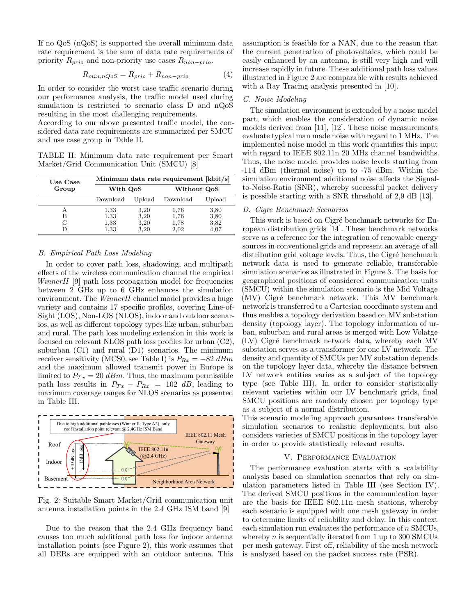If no QoS (nQoS) is supported the overall minimum data rate requirement is the sum of data rate requirements of priority  $R_{prio}$  and non-priority use cases  $R_{non-prio}$ .

$$
R_{min,nQoS} = R_{prio} + R_{non-prio}
$$
 (4)

In order to consider the worst case traffic scenario during our performance analysis, the traffic model used during simulation is restricted to scenario class D and nQoS resulting in the most challenging requirements.

According to our above presented traffic model, the considered data rate requirements are summarized per SMCU and use case group in Table II.

TABLE II: Minimum data rate requirement per Smart Market/Grid Communication Unit (SMCU) [8]

| Use Case<br>Group | Minimum data rate requirement [kbit/s] |                              |                              |                              |
|-------------------|----------------------------------------|------------------------------|------------------------------|------------------------------|
|                   |                                        | With QoS                     |                              | Without QoS                  |
|                   | Download                               | Upload                       | Download                     | Upload                       |
| А<br>в<br>C       | 1,33<br>1,33<br>1,33<br>1,33           | 3,20<br>3,20<br>3,20<br>3.20 | 1,76<br>1,76<br>1,78<br>2,02 | 3,80<br>3,80<br>3,82<br>4.07 |

### B. Empirical Path Loss Modeling

In order to cover path loss, shadowing, and multipath effects of the wireless communication channel the empirical WinnerII [9] path loss propagation model for frequencies between 2 GHz up to 6 GHz enhances the simulation environment. The *WinnerII* channel model provides a huge variety and contains 17 specific profiles, covering Line-of-Sight (LOS), Non-LOS (NLOS), indoor and outdoor scenarios, as well as different topology types like urban, suburban and rural. The path loss modeling extension in this work is focused on relevant NLOS path loss profiles for urban (C2), suburban (C1) and rural (D1) scenarios. The minimum receiver sensitivity (MCS0, see Table I) is  $P_{Rx} = -82$  dBm and the maximum allowed transmit power in Europe is limited to  $P_{Tx} = 20$  dBm. Thus, the maximum permissible path loss results in  $P_{Tx} - P_{Rx} = 102 \ dB$ , leading to maximum coverage ranges for NLOS scenarios as presented in Table III.



Fig. 2: Suitable Smart Market/Grid communication unit antenna installation points in the 2.4 GHz ISM band [9]

Due to the reason that the 2.4 GHz frequency band causes too much additional path loss for indoor antenna installation points (see Figure 2), this work assumes that all DERs are equipped with an outdoor antenna. This

assumption is feasible for a NAN, due to the reason that the current penetration of photovoltaics, which could be easily enhanced by an antenna, is still very high and will increase rapidly in future. These additional path loss values illustrated in Figure 2 are comparable with results achieved with a Ray Tracing analysis presented in [10].

## C. Noise Modeling

The simulation environment is extended by a noise model part, which enables the consideration of dynamic noise models derived from [11], [12]. These noise measurements evaluate typical man made noise with regard to 1 MHz. The implemented noise model in this work quantifies this input with regard to IEEE 802.11n 20 MHz channel bandwidths. Thus, the noise model provides noise levels starting from -114 dBm (thermal noise) up to -75 dBm. Within the simulation environment additional noise affects the Signalto-Noise-Ratio (SNR), whereby successful packet delivery is possible starting with a SNR threshold of 2,9 dB [13].

# D. Cigre Benchmark Scenarios

This work is based on Cigré benchmark networks for European distribution grids [14]. These benchmark networks serve as a reference for the integration of renewable energy sources in conventional grids and represent an average of all distribution grid voltage levels. Thus, the Cigré benchmark network data is used to generate reliable, transferable simulation scenarios as illustrated in Figure 3. The basis for geographical positions of considered communication units (SMCU) within the simulation scenario is the Mid Voltage (MV) Cigré benchmark network. This MV benchmark network is transferred to a Cartesian coordinate system and thus enables a topology derivation based on MV substation density (topology layer). The topology information of urban, suburban and rural areas is merged with Low Volatge (LV) Cigré benchmark network data, whereby each MV substation serves as a transformer for one LV network. The density and quantity of SMCUs per MV substation depends on the topology layer data, whereby the distance between LV network entities varies as a subject of the topology type (see Table III). In order to consider statistically relevant varieties within our LV benchmark grids, final SMCU positions are randomly chosen per topology type as a subject of a normal distribution.

This scenario modeling approach guarantees transferable simulation scenarios to realistic deployments, but also considers varieties of SMCU positions in the topology layer in order to provide statistically relevant results.

## V. Performance Evaluation

The performance evaluation starts with a scalability analysis based on simulation scenarios that rely on simulation parameters listed in Table III (see Section IV). The derived SMCU positions in the communication layer are the basis for IEEE 802.11n mesh stations, whereby each scenario is equipped with one mesh gateway in order to determine limits of reliability and delay. In this context each simulation run evaluates the performance of  $n$  SMCUs, whereby  $n$  is sequentially iterated from 1 up to 300 SMCUs per mesh gateway. First off, reliability of the mesh network is analyzed based on the packet success rate (PSR).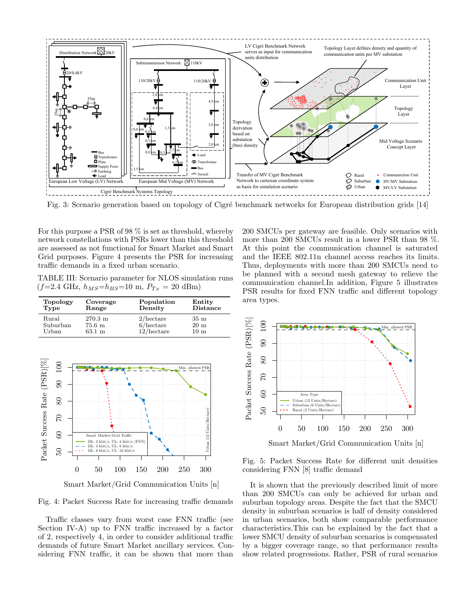

Fig. 3: Scenario generation based on topology of Cigré benchmark networks for European distribution grids [14]

network constellations with PSRs lower than this threshold more than 200 SMCUs result in a lower PSR that For this purpose a PSR of 98  $\%$  is set as threshold, whereby are assessed as not functional for Smart Market and Smart Grid purposes. Figure 4 presents the PSR for increasing traffic demands in a fixed urban scenario.

TABLE III: Scenario parameter for NLOS simulation runs  $(f=2.4 \text{ GHz}, h_{MS}=h_{BS}=10 \text{ m}, P_{Tx} = 20 \text{ dBm})$ 



Fig. 4: Packet Success Rate for increasing traffic demands

Traffic classes vary from worst case FNN traffic (see Section IV-A) up to FNN traffic increased by a factor of 2, respectively 4, in order to consider additional traffic demands of future Smart Market ancillary services. Considering FNN traffic, it can be shown that more than

 $f$  and Smart and this point the communication channel is saturated 200 SMCUs per gateway are feasible. Only scenarios with more than 200 SMCUs result in a lower PSR than 98 %. and the IEEE 802.11n channel access reaches its limits. Thus, deployments with more than 200 SMCUs need to be planned with a second mesh gateway to relieve the communication channel.In addition, Figure 5 illustrates PSR results for fixed FNN traffic and different topology area types.



Smart Market/Grid Communication Units [n]

Fig. 5: Packet Success Rate for different unit densities considering FNN [8] traffic demand

It is shown that the previously described limit of more than 200 SMCUs can only be achieved for urban and suburban topology areas. Despite the fact that the SMCU density in suburban scenarios is half of density considered in urban scenarios, both show comparable performance characteristics.This can be explained by the fact that a lower SMCU density of suburban scenarios is compensated by a bigger coverage range, so that performance results show related progressions. Rather, PSR of rural scenarios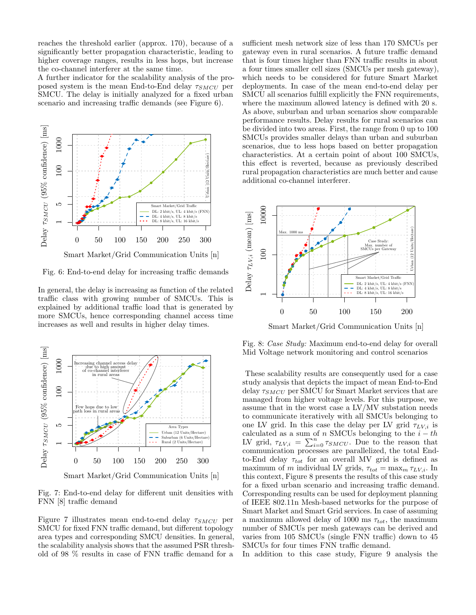reaches the threshold earlier (approx. 170), because of a significantly better propagation characteristic, leading to higher coverage ranges, results in less hops, but increase the co-channel interferer at the same time.

A further indicator for the scalability analysis of the proposed system is the mean End-to-End delay  $\tau_{SMCU}$  per SMCU. The delay is initially analyzed for a fixed urban scenario and increasing traffic demands (see Figure 6).



Fig. 6: End-to-end delay for increasing traffic demands

In general, the delay is increasing as function of the related traffic class with growing number of SMCUs. This is explained by additional traffic load that is generated by more SMCUs, hence corresponding channel access time increases as well and results in higher delay times.



Fig. 7: End-to-end delay for different unit densities with FNN [8] traffic demand

Figure 7 illustrates mean end-to-end delay  $\tau_{SMCU}$  per SMCU for fixed FNN traffic demand, but different topology area types and corresponding SMCU densities. In general, the scalability analysis shows that the assumed PSR threshold of 98 % results in case of FNN traffic demand for a

sufficient mesh network size of less than 170 SMCUs per gateway even in rural scenarios. A future traffic demand that is four times higher than FNN traffic results in about a four times smaller cell sizes (SMCUs per mesh gateway), which needs to be considered for future Smart Market deployments. In case of the mean end-to-end delay per SMCU all scenarios fulfill explicitly the FNN requirements, where the maximum allowed latency is defined with 20 s. As above, suburban and urban scenarios show comparable performance results. Delay results for rural scenarios can be divided into two areas. First, the range from 0 up to 100 SMCUs provides smaller delays than urban and suburban scenarios, due to less hops based on better propagation characteristics. At a certain point of about 100 SMCUs, this effect is reverted, because as previously described rural propagation characteristics are much better and cause additional co-channel interferer.



Smart Market/Grid Communication Units [n]

Fig. 8: Case Study: Maximum end-to-end delay for overall Mid Voltage network monitoring and control scenarios

These scalability results are consequently used for a case study analysis that depicts the impact of mean End-to-End delay  $\tau_{SMCU}$  per SMCU for Smart Market services that are managed from higher voltage levels. For this purpose, we assume that in the worst case a LV/MV substation needs to communicate iteratively with all SMCUs belonging to one LV grid. In this case the delay per LV grid  $\tau_{LV,i}$  is calculated as a sum of n SMCUs belonging to the  $i - th$ LV grid,  $\tau_{LV,i} = \sum_{i=0}^{n} \tau_{SMCU}$ . Due to the reason that communication processes are parallelized, the total Endto-End delay  $\tau_{tot}$  for an overall MV grid is defined as maximum of m individual LV grids,  $\tau_{tot} = \max_m \tau_{LV,i}$ . In this context, Figure 8 presents the results of this case study for a fixed urban scenario and increasing traffic demand. Corresponding results can be used for deployment planning of IEEE 802.11n Mesh-based networks for the purpose of Smart Market and Smart Grid services. In case of assuming a maximum allowed delay of 1000 ms  $\tau_{tot}$ , the maximum number of SMCUs per mesh gateways can be derived and varies from 105 SMCUs (single FNN traffic) down to 45 SMCUs for four times FNN traffic demand.

In addition to this case study, Figure 9 analysis the